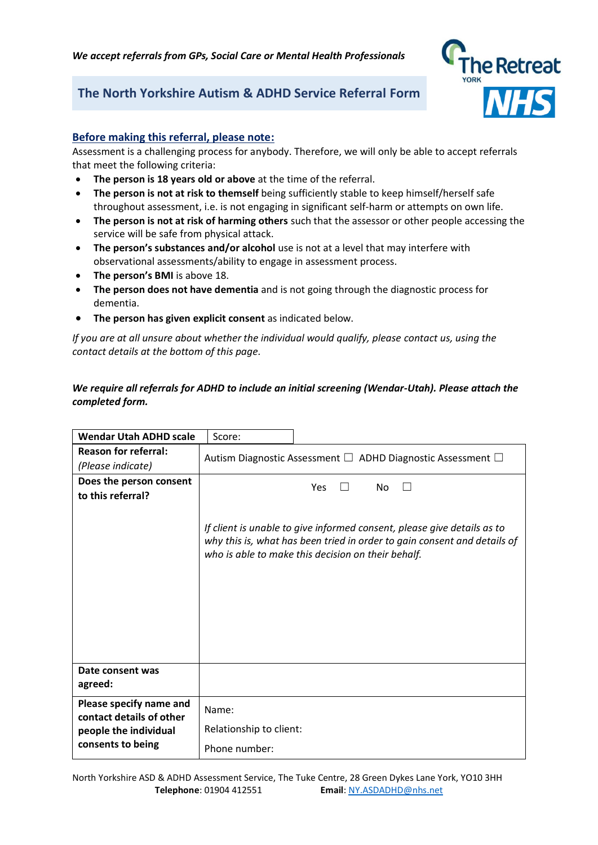*We accept referrals from GPs, Social Care or Mental Health Professionals*

# **The North Yorkshire Autism & ADHD Service Referral Form**



# **Before making this referral, please note:**

Assessment is a challenging process for anybody. Therefore, we will only be able to accept referrals that meet the following criteria:

- **The person is 18 years old or above** at the time of the referral.
- **The person is not at risk to themself** being sufficiently stable to keep himself/herself safe throughout assessment, i.e. is not engaging in significant self-harm or attempts on own life.
- **The person is not at risk of harming others** such that the assessor or other people accessing the service will be safe from physical attack.
- **The person's substances and/or alcohol** use is not at a level that may interfere with observational assessments/ability to engage in assessment process.
- **The person's BMI** is above 18.
- **The person does not have dementia** and is not going through the diagnostic process for dementia.
- **The person has given explicit consent** as indicated below.

*If you are at all unsure about whether the individual would qualify, please contact us, using the contact details at the bottom of this page.* 

# *We require all referrals for ADHD to include an initial screening (Wendar-Utah). Please attach the completed form.*

| <b>Wendar Utah ADHD scale</b>                       | Score:                                                                      |                                                                                                                                                                                                           |  |
|-----------------------------------------------------|-----------------------------------------------------------------------------|-----------------------------------------------------------------------------------------------------------------------------------------------------------------------------------------------------------|--|
| <b>Reason for referral:</b>                         | Autism Diagnostic Assessment $\square$ ADHD Diagnostic Assessment $\square$ |                                                                                                                                                                                                           |  |
| (Please indicate)                                   |                                                                             |                                                                                                                                                                                                           |  |
| Does the person consent                             | Yes<br>No<br>$\perp$                                                        |                                                                                                                                                                                                           |  |
| to this referral?                                   |                                                                             |                                                                                                                                                                                                           |  |
|                                                     |                                                                             | If client is unable to give informed consent, please give details as to<br>why this is, what has been tried in order to gain consent and details of<br>who is able to make this decision on their behalf. |  |
| Date consent was<br>agreed:                         |                                                                             |                                                                                                                                                                                                           |  |
| Please specify name and<br>contact details of other | Name:                                                                       |                                                                                                                                                                                                           |  |
| people the individual                               | Relationship to client:                                                     |                                                                                                                                                                                                           |  |
| consents to being                                   | Phone number:                                                               |                                                                                                                                                                                                           |  |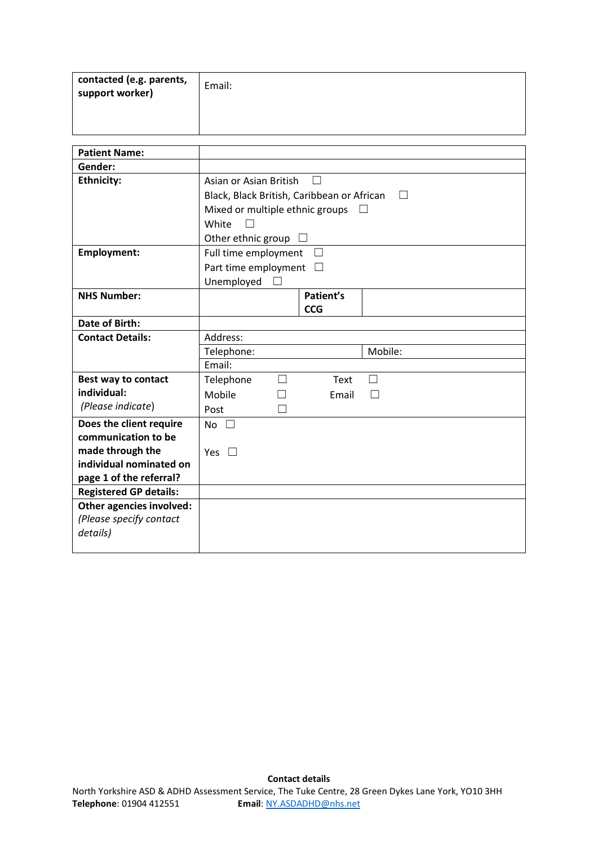| contacted (e.g. parents,<br>support worker) | Email: |
|---------------------------------------------|--------|
|                                             |        |

| <b>Patient Name:</b>          |                                 |                          |                                            |         |  |
|-------------------------------|---------------------------------|--------------------------|--------------------------------------------|---------|--|
| Gender:                       |                                 |                          |                                            |         |  |
| <b>Ethnicity:</b>             |                                 | Asian or Asian British   |                                            |         |  |
|                               |                                 |                          | Black, Black British, Caribbean or African |         |  |
|                               | Mixed or multiple ethnic groups |                          |                                            | $\perp$ |  |
|                               | White                           |                          |                                            |         |  |
|                               | Other ethnic group              |                          |                                            |         |  |
| <b>Employment:</b>            | Full time employment            |                          | $\perp$                                    |         |  |
|                               | Part time employment            |                          |                                            |         |  |
|                               | Unemployed                      |                          |                                            |         |  |
| <b>NHS Number:</b>            |                                 |                          | Patient's                                  |         |  |
|                               |                                 |                          | <b>CCG</b>                                 |         |  |
| Date of Birth:                |                                 |                          |                                            |         |  |
| <b>Contact Details:</b>       | Address:                        |                          |                                            |         |  |
|                               | Telephone:                      |                          |                                            | Mobile: |  |
|                               | Email:                          |                          |                                            |         |  |
| Best way to contact           | Telephone                       | $\overline{\phantom{a}}$ | Text                                       | $\perp$ |  |
| individual:                   | Mobile                          |                          | Email                                      | Г       |  |
| (Please indicate)             | Post                            |                          |                                            |         |  |
| Does the client require       | No $\square$                    |                          |                                            |         |  |
| communication to be           |                                 |                          |                                            |         |  |
| made through the              | Yes $\square$                   |                          |                                            |         |  |
| individual nominated on       |                                 |                          |                                            |         |  |
| page 1 of the referral?       |                                 |                          |                                            |         |  |
| <b>Registered GP details:</b> |                                 |                          |                                            |         |  |
| Other agencies involved:      |                                 |                          |                                            |         |  |
| (Please specify contact       |                                 |                          |                                            |         |  |
| details)                      |                                 |                          |                                            |         |  |
|                               |                                 |                          |                                            |         |  |

**Contact details**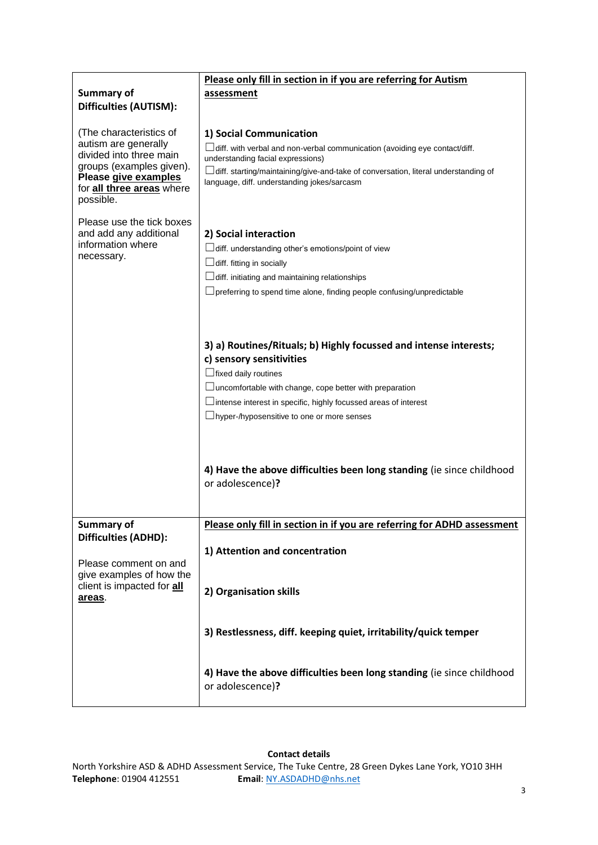| Summary of                                                                                                                                                                      | Please only fill in section in if you are referring for Autism<br>assessment                                                                                                                                                                                                                                            |  |  |
|---------------------------------------------------------------------------------------------------------------------------------------------------------------------------------|-------------------------------------------------------------------------------------------------------------------------------------------------------------------------------------------------------------------------------------------------------------------------------------------------------------------------|--|--|
| Difficulties (AUTISM):                                                                                                                                                          |                                                                                                                                                                                                                                                                                                                         |  |  |
| (The characteristics of<br>autism are generally<br>divided into three main<br>groups (examples given).<br>Please give examples<br>for <b>all three areas</b> where<br>possible. | 1) Social Communication<br>$\Box$ diff. with verbal and non-verbal communication (avoiding eye contact/diff.<br>understanding facial expressions)<br>$\Box$ diff. starting/maintaining/give-and-take of conversation, literal understanding of<br>language, diff. understanding jokes/sarcasm                           |  |  |
| Please use the tick boxes<br>and add any additional<br>information where<br>necessary.                                                                                          | 2) Social interaction<br>diff. understanding other's emotions/point of view<br>$\Box$ diff. fitting in socially<br>$\Box$ diff. initiating and maintaining relationships<br>$\Box$ preferring to spend time alone, finding people confusing/unpredictable                                                               |  |  |
|                                                                                                                                                                                 | 3) a) Routines/Rituals; b) Highly focussed and intense interests;<br>c) sensory sensitivities<br>$\Box$ fixed daily routines<br>$\Box$ uncomfortable with change, cope better with preparation<br>$\Box$ intense interest in specific, highly focussed areas of interest<br>□hyper-/hyposensitive to one or more senses |  |  |
|                                                                                                                                                                                 | 4) Have the above difficulties been long standing (ie since childhood<br>or adolescence)?                                                                                                                                                                                                                               |  |  |
| Summary of                                                                                                                                                                      | Please only fill in section in if you are referring for ADHD assessment                                                                                                                                                                                                                                                 |  |  |
| Difficulties (ADHD):<br>Please comment on and<br>give examples of how the<br>client is impacted for <b>all</b><br>areas.                                                        | 1) Attention and concentration                                                                                                                                                                                                                                                                                          |  |  |
|                                                                                                                                                                                 | 2) Organisation skills                                                                                                                                                                                                                                                                                                  |  |  |
|                                                                                                                                                                                 | 3) Restlessness, diff. keeping quiet, irritability/quick temper                                                                                                                                                                                                                                                         |  |  |
|                                                                                                                                                                                 | 4) Have the above difficulties been long standing (ie since childhood<br>or adolescence)?                                                                                                                                                                                                                               |  |  |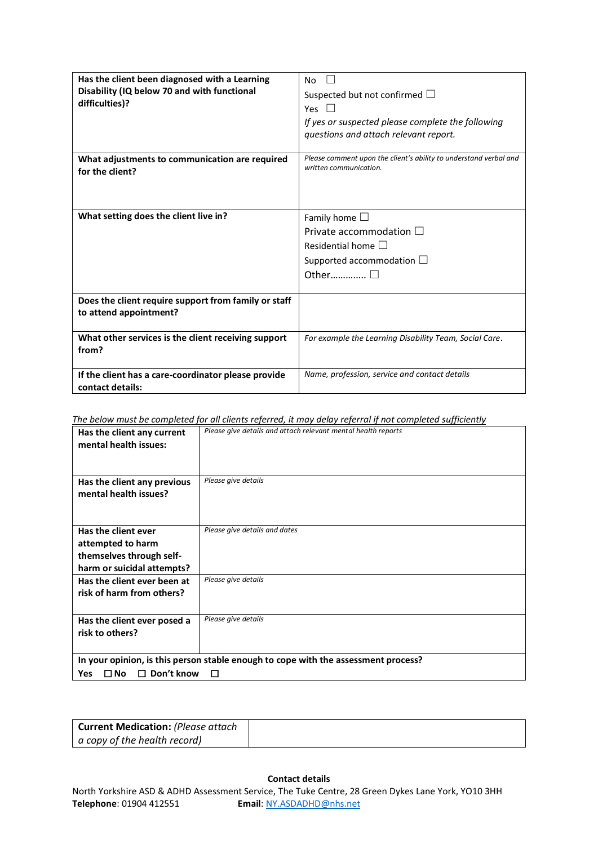| Has the client been diagnosed with a Learning<br>Disability (IQ below 70 and with functional | No<br>Suspected but not confirmed $\square$                       |
|----------------------------------------------------------------------------------------------|-------------------------------------------------------------------|
| difficulties)?                                                                               | Yes                                                               |
|                                                                                              | If yes or suspected please complete the following                 |
|                                                                                              | questions and attach relevant report.                             |
|                                                                                              | Please comment upon the client's ability to understand verbal and |
| What adjustments to communication are required<br>for the client?                            | written communication.                                            |
|                                                                                              |                                                                   |
|                                                                                              |                                                                   |
| What setting does the client live in?                                                        | Family home $\square$                                             |
|                                                                                              | Private accommodation $\square$                                   |
|                                                                                              |                                                                   |
|                                                                                              | Residential home $\Box$                                           |
|                                                                                              | Supported accommodation $\Box$                                    |
|                                                                                              | Other $\Box$                                                      |
|                                                                                              |                                                                   |
| Does the client require support from family or staff<br>to attend appointment?               |                                                                   |
|                                                                                              |                                                                   |
| What other services is the client receiving support                                          | For example the Learning Disability Team, Social Care.            |
| from?                                                                                        |                                                                   |
|                                                                                              |                                                                   |
| If the client has a care-coordinator please provide<br>contact details:                      | Name, profession, service and contact details                     |
|                                                                                              |                                                                   |

*The below must be completed for all clients referred, it may delay referral if not completed sufficiently*

| Has the client any current<br>mental health issues:                                | Please give details and attach relevant mental health reports |  |  |
|------------------------------------------------------------------------------------|---------------------------------------------------------------|--|--|
| Has the client any previous                                                        | Please give details                                           |  |  |
| mental health issues?                                                              |                                                               |  |  |
|                                                                                    |                                                               |  |  |
| Has the client ever                                                                | Please give details and dates                                 |  |  |
| attempted to harm                                                                  |                                                               |  |  |
| themselves through self-                                                           |                                                               |  |  |
| harm or suicidal attempts?                                                         |                                                               |  |  |
| Has the client ever been at                                                        | Please give details                                           |  |  |
| risk of harm from others?                                                          |                                                               |  |  |
|                                                                                    |                                                               |  |  |
| Has the client ever posed a                                                        | Please give details                                           |  |  |
| risk to others?                                                                    |                                                               |  |  |
|                                                                                    |                                                               |  |  |
| In your opinion, is this person stable enough to cope with the assessment process? |                                                               |  |  |
| Don't know<br>$\square$ No<br>$\Box$<br>Yes<br>П                                   |                                                               |  |  |

| <b>Current Medication: (Please attach</b> |  |
|-------------------------------------------|--|
| a copy of the health record)              |  |

### **Contact details**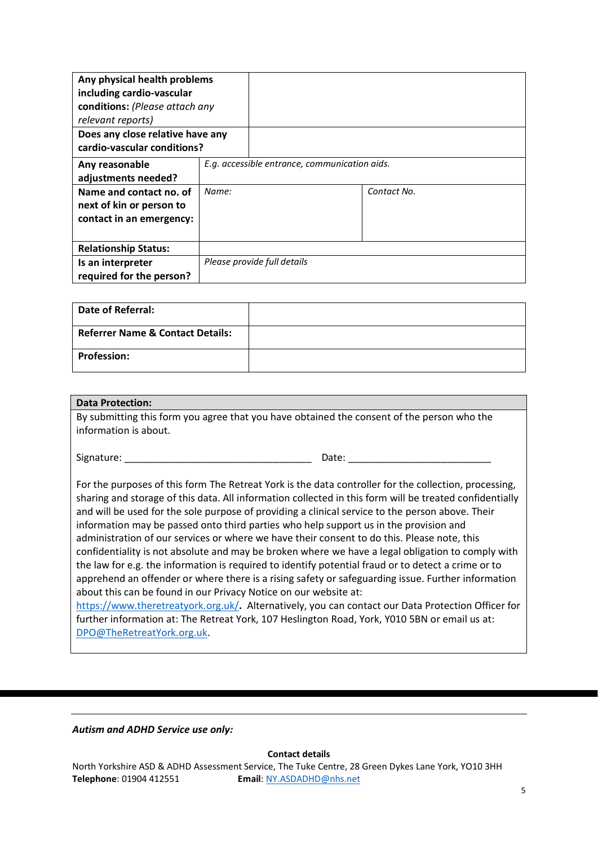| Any physical health problems<br>including cardio-vascular<br>conditions: (Please attach any<br>relevant reports)<br>Does any close relative have any<br>cardio-vascular conditions? |                                               |                             |             |
|-------------------------------------------------------------------------------------------------------------------------------------------------------------------------------------|-----------------------------------------------|-----------------------------|-------------|
| Any reasonable<br>adjustments needed?                                                                                                                                               | E.g. accessible entrance, communication aids. |                             |             |
| Name and contact no. of<br>next of kin or person to<br>contact in an emergency:                                                                                                     | Name:                                         |                             | Contact No. |
| <b>Relationship Status:</b>                                                                                                                                                         |                                               |                             |             |
| Is an interpreter<br>required for the person?                                                                                                                                       |                                               | Please provide full details |             |

| <b>Date of Referral:</b>                    |  |
|---------------------------------------------|--|
| <b>Referrer Name &amp; Contact Details:</b> |  |
| <b>Profession:</b>                          |  |

### **Data Protection:**

By submitting this form you agree that you have obtained the consent of the person who the information is about.

Signature: \_\_\_\_\_\_\_\_\_\_\_\_\_\_\_\_\_\_\_\_\_\_\_\_\_\_\_\_\_\_\_\_\_\_ Date: \_\_\_\_\_\_\_\_\_\_\_\_\_\_\_\_\_\_\_\_\_\_\_\_\_\_

For the purposes of this form The Retreat York is the data controller for the collection, processing, sharing and storage of this data. All information collected in this form will be treated confidentially and will be used for the sole purpose of providing a clinical service to the person above. Their information may be passed onto third parties who help support us in the provision and administration of our services or where we have their consent to do this. Please note, this confidentiality is not absolute and may be broken where we have a legal obligation to comply with the law for e.g. the information is required to identify potential fraud or to detect a crime or to apprehend an offender or where there is a rising safety or safeguarding issue. Further information about this can be found in our Privacy Notice on our website at:

<https://www.theretreatyork.org.uk/>**.** Alternatively, you can contact our Data Protection Officer for further information at: The Retreat York, 107 Heslington Road, York, Y010 5BN or email us at: [DPO@TheRetreatYork.org.uk.](mailto:DPO@TheRetreatYork.org.uk)

*Autism and ADHD Service use only:*

**Contact details**

North Yorkshire ASD & ADHD Assessment Service, The Tuke Centre, 28 Green Dykes Lane York, YO10 3HH **Telephone**: 01904 412551 **Email**[: NY.ASDADHD@nhs.net](mailto:NY.ASDADHD@nhs.net)